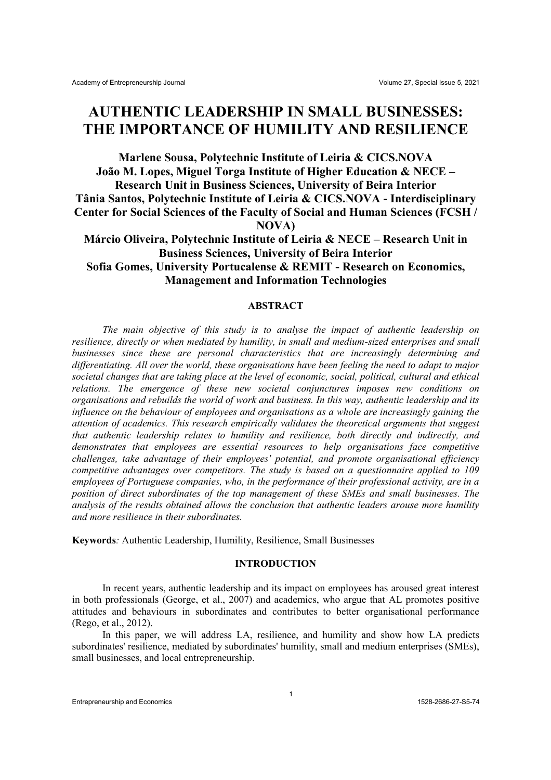# **AUTHENTIC LEADERSHIP IN SMALL BUSINESSES: THE IMPORTANCE OF HUMILITY AND RESILIENCE**

**Marlene Sousa, Polytechnic Institute of Leiria & CICS.NOVA João M. Lopes, Miguel Torga Institute of Higher Education & NECE – Research Unit in Business Sciences, University of Beira Interior Tânia Santos, Polytechnic Institute of Leiria & CICS.NOVA - Interdisciplinary Center for Social Sciences of the Faculty of Social and Human Sciences (FCSH / NOVA)**

**Márcio Oliveira, Polytechnic Institute of Leiria & NECE – Research Unit in Business Sciences, University of Beira Interior Sofia Gomes, University Portucalense & REMIT - Research on Economics, Management and Information Technologies**

## **ABSTRACT**

*The main objective of this study is to analyse the impact of authentic leadership on resilience, directly or when mediated by humility, in small and medium-sized enterprises and small businesses since these are personal characteristics that are increasingly determining and differentiating. All over the world, these organisations have been feeling the need to adapt to major societal changes that are taking place at the level of economic, social, political, cultural and ethical relations. The emergence of these new societal conjunctures imposes new conditions on organisations and rebuilds the world of work and business. In this way, authentic leadership and its influence on the behaviour of employees and organisations as a whole are increasingly gaining the attention of academics. This research empirically validates the theoretical arguments that suggest that authentic leadership relates to humility and resilience, both directly and indirectly, and demonstrates that employees are essential resources to help organisations face competitive challenges, take advantage of their employees' potential, and promote organisational efficiency competitive advantages over competitors. The study is based on a questionnaire applied to 109 employees of Portuguese companies, who, in the performance of their professional activity, are in a position of direct subordinates of the top management of these SMEs and small businesses. The analysis of the results obtained allows the conclusion that authentic leaders arouse more humility and more resilience in their subordinates.*

**Keywords***:* Authentic Leadership, Humility, Resilience, Small Businesses

## **INTRODUCTION**

In recent years, authentic leadership and its impact on employees has aroused great interest in both professionals (George, et al., 2007) and academics, who argue that AL promotes positive attitudes and behaviours in subordinates and contributes to better organisational performance (Rego, et al., 2012).

In this paper, we will address LA, resilience, and humility and show how LA predicts subordinates' resilience, mediated by subordinates' humility, small and medium enterprises (SMEs), small businesses, and local entrepreneurship.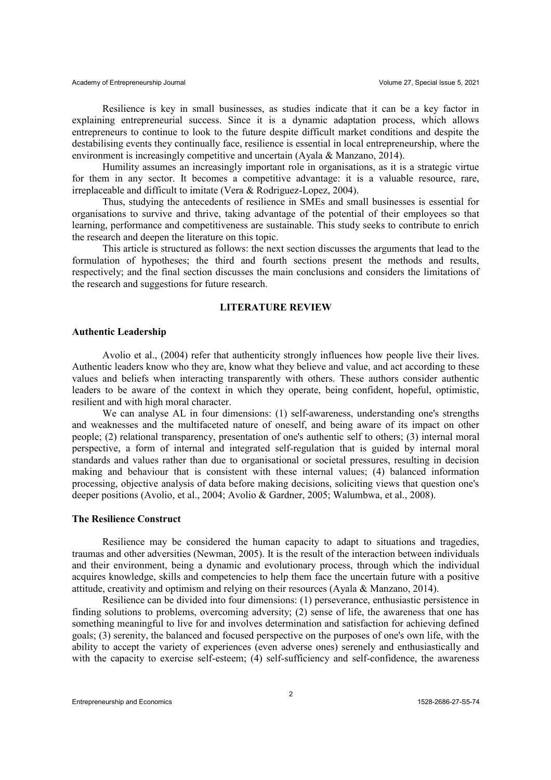Resilience is key in small businesses, as studies indicate that it can be a key factor in explaining entrepreneurial success. Since it is a dynamic adaptation process, which allows entrepreneurs to continue to look to the future despite difficult market conditions and despite the destabilising events they continually face, resilience is essential in local entrepreneurship, where the environment is increasingly competitive and uncertain (Ayala & Manzano, 2014).

Humility assumes an increasingly important role in organisations, as it is a strategic virtue for them in any sector. It becomes a competitive advantage: it is a valuable resource, rare, irreplaceable and difficult to imitate (Vera & Rodriguez-Lopez, 2004).

Thus, studying the antecedents of resilience in SMEs and small businesses is essential for organisations to survive and thrive, taking advantage of the potential of their employees so that learning, performance and competitiveness are sustainable. This study seeks to contribute to enrich the research and deepen the literature on this topic.

This article is structured as follows: the next section discusses the arguments that lead to the formulation of hypotheses; the third and fourth sections present the methods and results, respectively; and the final section discusses the main conclusions and considers the limitations of the research and suggestions for future research.

## **LITERATURE REVIEW**

#### **Authentic Leadership**

Avolio et al., (2004) refer that authenticity strongly influences how people live their lives. Authentic leaders know who they are, know what they believe and value, and act according to these values and beliefs when interacting transparently with others. These authors consider authentic leaders to be aware of the context in which they operate, being confident, hopeful, optimistic, resilient and with high moral character.

We can analyse AL in four dimensions: (1) self-awareness, understanding one's strengths and weaknesses and the multifaceted nature of oneself, and being aware of its impact on other people; (2) relational transparency, presentation of one's authentic self to others; (3) internal moral perspective, a form of internal and integrated self-regulation that is guided by internal moral standards and values rather than due to organisational or societal pressures, resulting in decision making and behaviour that is consistent with these internal values; (4) balanced information processing, objective analysis of data before making decisions, soliciting views that question one's deeper positions (Avolio, et al., 2004; Avolio & Gardner, 2005; Walumbwa, et al., 2008).

#### **The Resilience Construct**

Resilience may be considered the human capacity to adapt to situations and tragedies, traumas and other adversities (Newman, 2005). It is the result of the interaction between individuals and their environment, being a dynamic and evolutionary process, through which the individual acquires knowledge, skills and competencies to help them face the uncertain future with a positive attitude, creativity and optimism and relying on their resources (Ayala & Manzano, 2014).

Resilience can be divided into four dimensions: (1) perseverance, enthusiastic persistence in finding solutions to problems, overcoming adversity; (2) sense of life, the awareness that one has something meaningful to live for and involves determination and satisfaction for achieving defined goals; (3) serenity, the balanced and focused perspective on the purposes of one's own life, with the ability to accept the variety of experiences (even adverse ones) serenely and enthusiastically and with the capacity to exercise self-esteem; (4) self-sufficiency and self-confidence, the awareness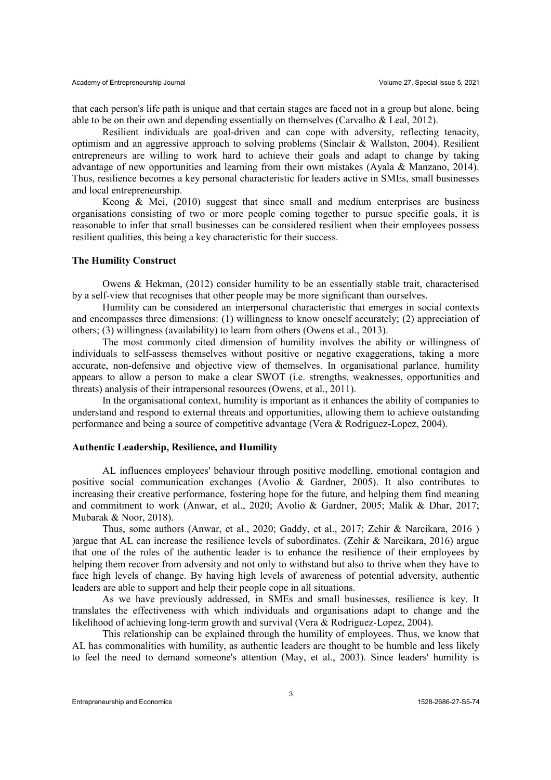that each person's life path is unique and that certain stages are faced not in a group but alone, being able to be on their own and depending essentially on themselves (Carvalho  $&$  Leal, 2012).

Resilient individuals are goal-driven and can cope with adversity, reflecting tenacity, optimism and an aggressive approach to solving problems (Sinclair & Wallston, 2004). Resilient entrepreneurs are willing to work hard to achieve their goals and adapt to change by taking advantage of new opportunities and learning from their own mistakes (Ayala & Manzano, 2014). Thus, resilience becomes a key personal characteristic for leaders active in SMEs, small businesses and local entrepreneurship.

Keong  $\&$  Mei, (2010) suggest that since small and medium enterprises are business organisations consisting of two or more people coming together to pursue specific goals, it is reasonable to infer that small businesses can be considered resilient when their employees possess resilient qualities, this being a key characteristic for their success.

## **The Humility Construct**

Owens & Hekman, (2012) consider humility to be an essentially stable trait, characterised by a self-view that recognises that other people may be more significant than ourselves.

Humility can be considered an interpersonal characteristic that emerges in social contexts and encompasses three dimensions: (1) willingness to know oneself accurately; (2) appreciation of others; (3) willingness (availability) to learn from others (Owens et al., 2013).

The most commonly cited dimension of humility involves the ability or willingness of individuals to self-assess themselves without positive or negative exaggerations, taking a more accurate, non-defensive and objective view of themselves. In organisational parlance, humility appears to allow a person to make a clear SWOT (i.e. strengths, weaknesses, opportunities and threats) analysis of their intrapersonal resources (Owens, et al., 2011).

In the organisational context, humility is important as it enhances the ability of companies to understand and respond to external threats and opportunities, allowing them to achieve outstanding performance and being a source of competitive advantage (Vera & Rodriguez-Lopez, 2004).

#### **Authentic Leadership, Resilience, and Humility**

AL influences employees' behaviour through positive modelling, emotional contagion and positive social communication exchanges (Avolio & Gardner, 2005). It also contributes to increasing their creative performance, fostering hope for the future, and helping them find meaning and commitment to work (Anwar, et al., 2020; Avolio & Gardner, 2005; Malik & Dhar, 2017; Mubarak & Noor, 2018).

Thus, some authors (Anwar, et al., 2020; Gaddy, et al., 2017; Zehir & Narcikara, 2016 ) )argue that AL can increase the resilience levels of subordinates. (Zehir & Narcikara, 2016) argue that one of the roles of the authentic leader is to enhance the resilience of their employees by helping them recover from adversity and not only to withstand but also to thrive when they have to face high levels of change. By having high levels of awareness of potential adversity, authentic leaders are able to support and help their people cope in all situations.

As we have previously addressed, in SMEs and small businesses, resilience is key. It translates the effectiveness with which individuals and organisations adapt to change and the likelihood of achieving long-term growth and survival (Vera & Rodriguez-Lopez, 2004).

This relationship can be explained through the humility of employees. Thus, we know that AL has commonalities with humility, as authentic leaders are thought to be humble and less likely to feel the need to demand someone's attention (May, et al., 2003). Since leaders' humility is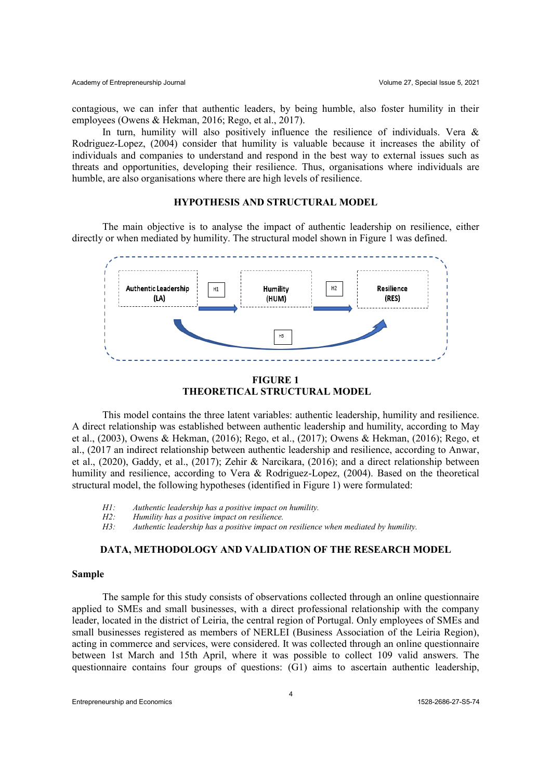contagious, we can infer that authentic leaders, by being humble, also foster humility in their employees (Owens & Hekman, 2016; Rego, et al., 2017).

In turn, humility will also positively influence the resilience of individuals. Vera  $\&$ Rodriguez-Lopez, (2004) consider that humility is valuable because it increases the ability of individuals and companies to understand and respond in the best way to external issues such as threats and opportunities, developing their resilience. Thus, organisations where individuals are humble, are also organisations where there are high levels of resilience.

## **HYPOTHESIS AND STRUCTURAL MODEL**

The main objective is to analyse the impact of authentic leadership on resilience, either directly or when mediated by humility. The structural model shown in Figure 1 was defined.





This model contains the three latent variables: authentic leadership, humility and resilience. A direct relationship was established between authentic leadership and humility, according to May et al., (2003), Owens & Hekman, (2016); Rego, et al., (2017); Owens & Hekman, (2016); Rego, et al., (2017 an indirect relationship between authentic leadership and resilience, according to Anwar, et al., (2020), Gaddy, et al., (2017); Zehir & Narcikara, (2016); and a direct relationship between humility and resilience, according to Vera & Rodriguez-Lopez, (2004). Based on the theoretical structural model, the following hypotheses (identified in Figure 1) were formulated:

- *H1: Authentic leadership has a positive impact on humility.*
- *H2: Humility has a positive impact on resilience.*
- *H3: Authentic leadership has a positive impact on resilience when mediated by humility.*

## **DATA, METHODOLOGY AND VALIDATION OF THE RESEARCH MODEL**

#### **Sample**

The sample for this study consists of observations collected through an online questionnaire applied to SMEs and small businesses, with a direct professional relationship with the company leader, located in the district of Leiria, the central region of Portugal. Only employees of SMEs and small businesses registered as members of NERLEI (Business Association of the Leiria Region), acting in commerce and services, were considered. It was collected through an online questionnaire between 1st March and 15th April, where it was possible to collect 109 valid answers. The questionnaire contains four groups of questions: (G1) aims to ascertain authentic leadership,

Entrepreneurship and Economics 1528-2686-27-S5-74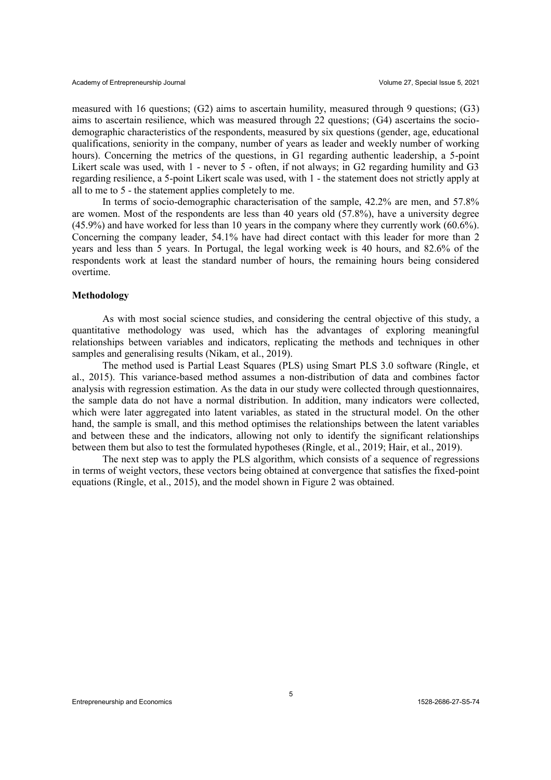measured with 16 questions; (G2) aims to ascertain humility, measured through 9 questions; (G3) aims to ascertain resilience, which was measured through 22 questions; (G4) ascertains the sociodemographic characteristics of the respondents, measured by six questions (gender, age, educational qualifications, seniority in the company, number of years as leader and weekly number of working hours). Concerning the metrics of the questions, in G1 regarding authentic leadership, a 5-point Likert scale was used, with 1 - never to 5 - often, if not always; in G2 regarding humility and G3 regarding resilience, a 5-point Likert scale was used, with 1 - the statement does not strictly apply at all to me to 5 - the statement applies completely to me.

In terms of socio-demographic characterisation of the sample, 42.2% are men, and 57.8% are women. Most of the respondents are less than 40 years old (57.8%), have a university degree (45.9%) and have worked for less than 10 years in the company where they currently work (60.6%). Concerning the company leader, 54.1% have had direct contact with this leader for more than 2 years and less than 5 years. In Portugal, the legal working week is 40 hours, and 82.6% of the respondents work at least the standard number of hours, the remaining hours being considered overtime.

#### **Methodology**

As with most social science studies, and considering the central objective of this study, a quantitative methodology was used, which has the advantages of exploring meaningful relationships between variables and indicators, replicating the methods and techniques in other samples and generalising results (Nikam, et al., 2019).

The method used is Partial Least Squares (PLS) using Smart PLS 3.0 software (Ringle, et al., 2015). This variance-based method assumes a non-distribution of data and combines factor analysis with regression estimation. As the data in our study were collected through questionnaires, the sample data do not have a normal distribution. In addition, many indicators were collected, which were later aggregated into latent variables, as stated in the structural model. On the other hand, the sample is small, and this method optimises the relationships between the latent variables and between these and the indicators, allowing not only to identify the significant relationships between them but also to test the formulated hypotheses (Ringle, et al., 2019; Hair, et al., 2019).

The next step was to apply the PLS algorithm, which consists of a sequence of regressions in terms of weight vectors, these vectors being obtained at convergence that satisfies the fixed-point equations (Ringle, et al., 2015), and the model shown in Figure 2 was obtained.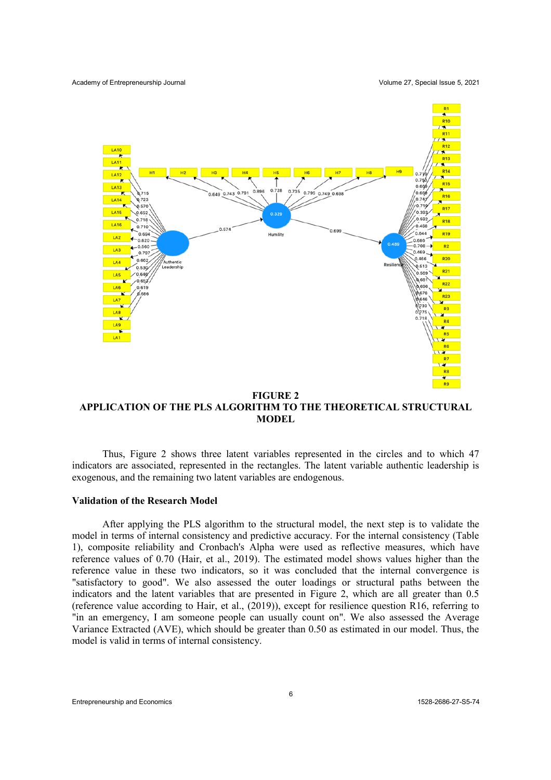

**FIGURE 2 APPLICATION OF THE PLS ALGORITHM TO THE THEORETICAL STRUCTURAL MODEL**

Thus, Figure 2 shows three latent variables represented in the circles and to which 47 indicators are associated, represented in the rectangles. The latent variable authentic leadership is exogenous, and the remaining two latent variables are endogenous.

### **Validation of the Research Model**

After applying the PLS algorithm to the structural model, the next step is to validate the model in terms of internal consistency and predictive accuracy. For the internal consistency (Table 1), composite reliability and Cronbach's Alpha were used as reflective measures, which have reference values of 0.70 (Hair, et al., 2019). The estimated model shows values higher than the reference value in these two indicators, so it was concluded that the internal convergence is "satisfactory to good". We also assessed the outer loadings or structural paths between the indicators and the latent variables that are presented in Figure 2, which are all greater than 0.5 (reference value according to Hair, et al., (2019)), except for resilience question R16, referring to "in an emergency, I am someone people can usually count on". We also assessed the Average Variance Extracted (AVE), which should be greater than 0.50 as estimated in our model. Thus, the model is valid in terms of internal consistency.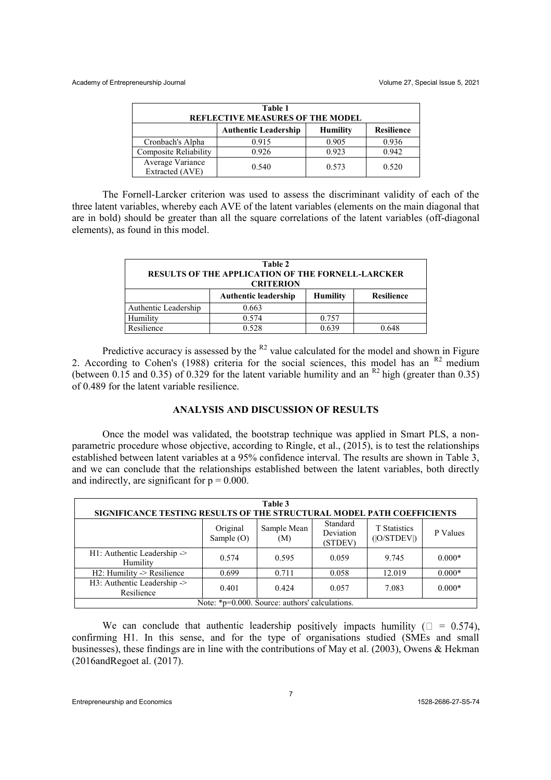| Table 1<br><b>REFLECTIVE MEASURES OF THE MODEL</b> |                             |                 |                   |  |  |  |
|----------------------------------------------------|-----------------------------|-----------------|-------------------|--|--|--|
|                                                    | <b>Authentic Leadership</b> | <b>Humility</b> | <b>Resilience</b> |  |  |  |
| Cronbach's Alpha                                   | 0.915                       | 0.905           | 0.936             |  |  |  |
| Composite Reliability                              | 0.926                       | 0.923           | 0.942             |  |  |  |
| Average Variance<br>Extracted (AVE)                | 0.540                       | 0.573           | 0.520             |  |  |  |

The Fornell-Larcker criterion was used to assess the discriminant validity of each of the three latent variables, whereby each AVE of the latent variables (elements on the main diagonal that are in bold) should be greater than all the square correlations of the latent variables (off-diagonal elements), as found in this model.

| Table 2<br>RESULTS OF THE APPLICATION OF THE FORNELL-LARCKER<br><b>CRITERION</b> |                             |                 |                   |  |  |  |
|----------------------------------------------------------------------------------|-----------------------------|-----------------|-------------------|--|--|--|
|                                                                                  | <b>Authentic leadership</b> | <b>Humility</b> | <b>Resilience</b> |  |  |  |
| Authentic Leadership                                                             | 0.663                       |                 |                   |  |  |  |
| Humility                                                                         | 0.574                       | 0.757           |                   |  |  |  |
| Resilience                                                                       | 0.528                       | 0.639           | 0.648             |  |  |  |

Predictive accuracy is assessed by the  $R^2$  value calculated for the model and shown in Figure 2. According to Cohen's (1988) criteria for the social sciences, this model has an  $R^2$  medium (between 0.15 and 0.35) of 0.329 for the latent variable humility and an  $R^2$  high (greater than 0.35) of 0.489 for the latent variable resilience.

# **ANALYSIS AND DISCUSSION OF RESULTS**

Once the model was validated, the bootstrap technique was applied in Smart PLS, a nonparametric procedure whose objective, according to Ringle, et al., (2015), is to test the relationships established between latent variables at a 95% confidence interval. The results are shown in Table 3, and we can conclude that the relationships established between the latent variables, both directly and indirectly, are significant for  $p = 0.000$ .

| Table 3                                                                |                          |                    |                                  |                                    |          |  |  |  |
|------------------------------------------------------------------------|--------------------------|--------------------|----------------------------------|------------------------------------|----------|--|--|--|
| SIGNIFICANCE TESTING RESULTS OF THE STRUCTURAL MODEL PATH COEFFICIENTS |                          |                    |                                  |                                    |          |  |  |  |
|                                                                        | Original<br>Sample $(O)$ | Sample Mean<br>(M) | Standard<br>Deviation<br>(STDEV) | <b>T</b> Statistics<br>( O/STDEV ) | P Values |  |  |  |
| H1: Authentic Leadership -><br>Humility                                | 0.574                    | 0.595              | 0.059                            | 9.745                              | $0.000*$ |  |  |  |
| H2: Humility -> Resilience                                             | 0.699                    | 0.711              | 0.058                            | 12.019                             | $0.000*$ |  |  |  |
| H3: Authentic Leadership -><br>Resilience                              | 0.401                    | 0.424              | 0.057                            | 7.083                              | $0.000*$ |  |  |  |
| Note: *p=0.000. Source: authors' calculations.                         |                          |                    |                                  |                                    |          |  |  |  |

We can conclude that authentic leadership positively impacts humility ( $\square = 0.574$ ), confirming H1. In this sense, and for the type of organisations studied (SMEs and small businesses), these findings are in line with the contributions of May et al. (2003), Owens & Hekman (2016andRegoet al. (2017).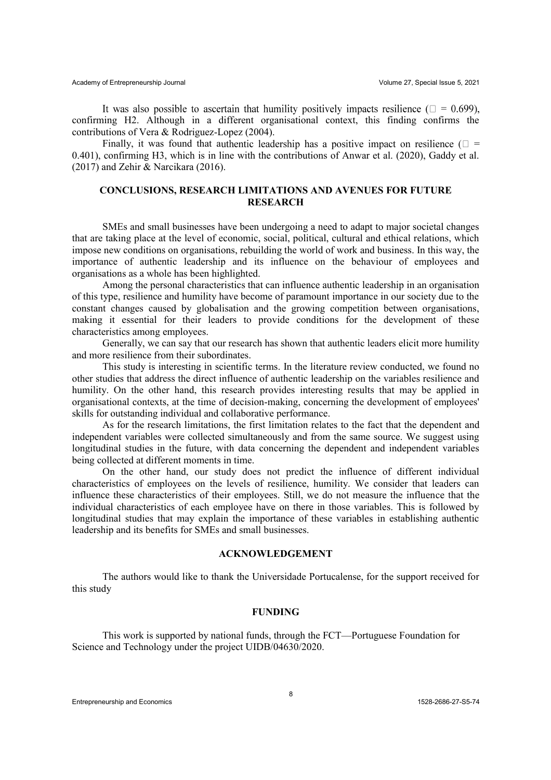It was also possible to ascertain that humility positively impacts resilience ( $\square = 0.699$ ). confirming H2. Although in a different organisational context, this finding confirms the contributions of Vera & Rodriguez-Lopez (2004).

Finally, it was found that authentic leadership has a positive impact on resilience ( $\square$  = 0.401), confirming H3, which is in line with the contributions of Anwar et al. (2020), Gaddy et al. (2017) and Zehir & Narcikara (2016).

# **CONCLUSIONS, RESEARCH LIMITATIONS AND AVENUES FOR FUTURE RESEARCH**

SMEs and small businesses have been undergoing a need to adapt to major societal changes that are taking place at the level of economic, social, political, cultural and ethical relations, which impose new conditions on organisations, rebuilding the world of work and business. In this way, the importance of authentic leadership and its influence on the behaviour of employees and organisations as a whole has been highlighted.

Among the personal characteristics that can influence authentic leadership in an organisation of this type, resilience and humility have become of paramount importance in our society due to the constant changes caused by globalisation and the growing competition between organisations, making it essential for their leaders to provide conditions for the development of these characteristics among employees.

Generally, we can say that our research has shown that authentic leaders elicit more humility and more resilience from their subordinates.

This study is interesting in scientific terms. In the literature review conducted, we found no other studies that address the direct influence of authentic leadership on the variables resilience and humility. On the other hand, this research provides interesting results that may be applied in organisational contexts, at the time of decision-making, concerning the development of employees' skills for outstanding individual and collaborative performance.

As for the research limitations, the first limitation relates to the fact that the dependent and independent variables were collected simultaneously and from the same source. We suggest using longitudinal studies in the future, with data concerning the dependent and independent variables being collected at different moments in time.

On the other hand, our study does not predict the influence of different individual characteristics of employees on the levels of resilience, humility. We consider that leaders can influence these characteristics of their employees. Still, we do not measure the influence that the individual characteristics of each employee have on there in those variables. This is followed by longitudinal studies that may explain the importance of these variables in establishing authentic leadership and its benefits for SMEs and small businesses.

## **ACKNOWLEDGEMENT**

The authors would like to thank the Universidade Portucalense, for the support received for this study

#### **FUNDING**

This work is supported by national funds, through the FCT—Portuguese Foundation for Science and Technology under the project UIDB/04630/2020.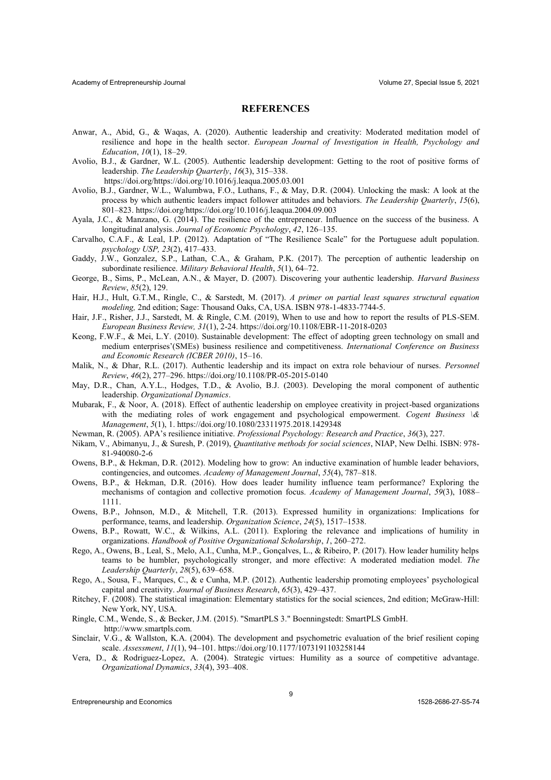#### **REFERENCES**

- Anwar, A., Abid, G., & Waqas, A. (2020). Authentic leadership and creativity: Moderated meditation model of resilience and hope in the health sector. *European Journal of Investigation in Health, Psychology and Education*,  $10(1)$ , 18-29.
- Avolio, B.J., & Gardner, W.L. (2005). Authentic leadership development: Getting to the root of positive forms of leadership. *The Leadership Quarterly*, *16*(3), 315-338. https://doi.org/https://doi.org/10.1016/j.leaqua.2005.03.001
- Avolio, B.J., Gardner, W.L., Walumbwa, F.O., Luthans, F., & May, D.R. (2004). Unlocking the mask: A look at the process by which authentic leaders impact follower attitudes and behaviors. *The Leadership Quarterly*, *15*(6), 801±823. https://doi.org/https://doi.org/10.1016/j.leaqua.2004.09.003
- Ayala, J.C., & Manzano, G. (2014). The resilience of the entrepreneur. Influence on the success of the business. A longitudinal analysis. *Journal of Economic Psychology*,  $42$ , 126–135.
- Carvalho, C.A.F., & Leal, I.P. (2012). Adaptation of "The Resilience Scale" for the Portuguese adult population. *psychology USP, 23(2), 417–433.*
- Gaddy, J.W., Gonzalez, S.P., Lathan, C.A., & Graham, P.K. (2017). The perception of authentic leadership on subordinate resilience. *Military Behavioral Health*,  $5(1)$ ,  $64-72$ .
- George, B., Sims, P., McLean, A.N., & Mayer, D. (2007). Discovering your authentic leadership. *Harvard Business Review*, *85*(2), 129.
- Hair, H.J., Hult, G.T.M., Ringle, C., & Sarstedt, M. (2017). *A primer on partial least squares structural equation modeling,* 2nd edition; Sage: Thousand Oaks, CA, USA. ISBN 978-1-4833-7744-5.
- Hair, J.F., Risher, J.J., Sarstedt, M. & Ringle, C.M. (2019), When to use and how to report the results of PLS-SEM. *European Business Review, 31*(1), 2-24. https://doi.org/10.1108/EBR-11-2018-0203
- Keong, F.W.F., & Mei, L.Y. (2010). Sustainable development: The effect of adopting green technology on small and medium enterprises'(SMEs) business resilience and competitiveness. *International Conference on Business and Economic Research (ICBER 2010)*, 15-16.
- Malik, N., & Dhar, R.L. (2017). Authentic leadership and its impact on extra role behaviour of nurses. *Personnel Review*, *46*(2), 277±296. https://doi.org/10.1108/PR-05-2015-0140
- May, D.R., Chan, A.Y.L., Hodges, T.D., & Avolio, B.J. (2003). Developing the moral component of authentic leadership. *Organizational Dynamics*.
- Mubarak, F., & Noor, A. (2018). Effect of authentic leadership on employee creativity in project-based organizations with the mediating roles of work engagement and psychological empowerment. *Cogent Business*  $\&$ *Management*, *5*(1), 1. https://doi.org/10.1080/23311975.2018.1429348
- Newman, R. (2005). APA's resilience initiative. *Professional Psychology: Research and Practice*, 36(3), 227.
- Nikam, V., Abimanyu, J., & Suresh, P. (2019), *Quantitative methods for social sciences*, NIAP, New Delhi. ISBN: 978- 81-940080-2-6
- Owens, B.P., & Hekman, D.R. (2012). Modeling how to grow: An inductive examination of humble leader behaviors, contingencies, and outcomes. *Academy of Management Journal*, 55(4), 787–818.
- Owens, B.P., & Hekman, D.R. (2016). How does leader humility influence team performance? Exploring the mechanisms of contagion and collective promotion focus. Academy of Management Journal, 59(3), 1088-1111.
- Owens, B.P., Johnson, M.D., & Mitchell, T.R. (2013). Expressed humility in organizations: Implications for performance, teams, and leadership. *Organization Science*, 24(5), 1517-1538.
- Owens, B.P., Rowatt, W.C., & Wilkins, A.L. (2011). Exploring the relevance and implications of humility in organizations. *Handbook of Positive Organizational Scholarship*, *1*, 260-272.
- Rego, A., Owens, B., Leal, S., Melo, A.I., Cunha, M.P., Gonçalves, L., & Ribeiro, P. (2017). How leader humility helps teams to be humbler, psychologically stronger, and more effective: A moderated mediation model. *The Leadership Quarterly*, 28(5), 639-658.
- Rego, A., Sousa, F., Marques, C.,  $\&$  e Cunha, M.P. (2012). Authentic leadership promoting employees' psychological capital and creativity. *Journal of Business Research*,  $65(3)$ , 429-437.
- Ritchey, F. (2008). The statistical imagination: Elementary statistics for the social sciences, 2nd edition; McGraw-Hill: New York, NY, USA.
- Ringle, C.M., Wende, S., & Becker, J.M. (2015). "SmartPLS 3." Boenningstedt: SmartPLS GmbH. http://www.smartpls.com.
- Sinclair, V.G., & Wallston, K.A. (2004). The development and psychometric evaluation of the brief resilient coping scale. *Assessment*, *11*(1), 94-101. https://doi.org/10.1177/1073191103258144
- Vera, D., & Rodriguez-Lopez, A. (2004). Strategic virtues: Humility as a source of competitive advantage. *Organizational Dynamics*, 33(4), 393-408.

Entrepreneurship and Economics 1528-2686-27-S5-74